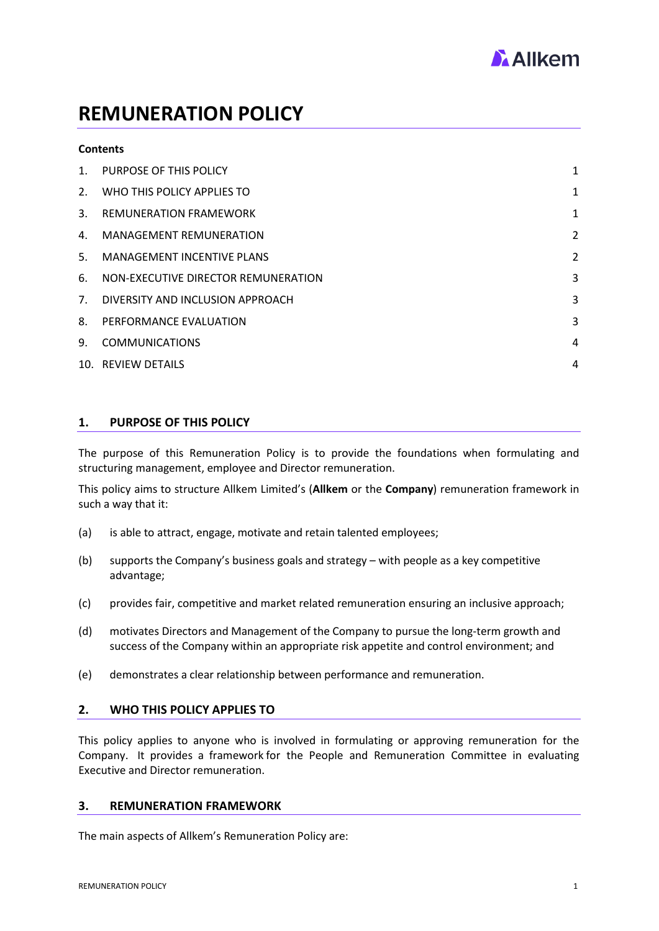

# **REMUNERATION POLICY**

#### **Contents**

| 1 <sup>1</sup> | <b>PURPOSE OF THIS POLICY</b>       | $\mathbf{1}$   |
|----------------|-------------------------------------|----------------|
| 2.             | WHO THIS POLICY APPLIES TO          | $\mathbf{1}$   |
| 3.             | <b>REMUNERATION FRAMEWORK</b>       | 1              |
| 4.             | <b>MANAGEMENT REMUNERATION</b>      | $\overline{2}$ |
| 5 <sub>1</sub> | <b>MANAGEMENT INCENTIVE PLANS</b>   | 2              |
| 6.             | NON-EXECUTIVE DIRECTOR REMUNERATION | 3              |
|                | 7. DIVERSITY AND INCLUSION APPROACH | 3              |
| 8.             | PERFORMANCE EVALUATION              | 3              |
| 9.             | <b>COMMUNICATIONS</b>               | 4              |
|                | 10. REVIEW DETAILS                  | 4              |

## <span id="page-0-0"></span>**1. PURPOSE OF THIS POLICY**

The purpose of this Remuneration Policy is to provide the foundations when formulating and structuring management, employee and Director remuneration.

This policy aims to structure Allkem Limited's (**Allkem** or the **Company**) remuneration framework in such a way that it:

- (a) is able to attract, engage, motivate and retain talented employees;
- (b) supports the Company's business goals and strategy with people as a key competitive advantage;
- (c) provides fair, competitive and market related remuneration ensuring an inclusive approach;
- (d) motivates Directors and Management of the Company to pursue the long-term growth and success of the Company within an appropriate risk appetite and control environment; and
- (e) demonstrates a clear relationship between performance and remuneration.

#### <span id="page-0-1"></span>**2. WHO THIS POLICY APPLIES TO**

This policy applies to anyone who is involved in formulating or approving remuneration for the Company. It provides a framework for the People and Remuneration Committee in evaluating Executive and Director remuneration.

#### <span id="page-0-2"></span>**3. REMUNERATION FRAMEWORK**

The main aspects of Allkem's Remuneration Policy are: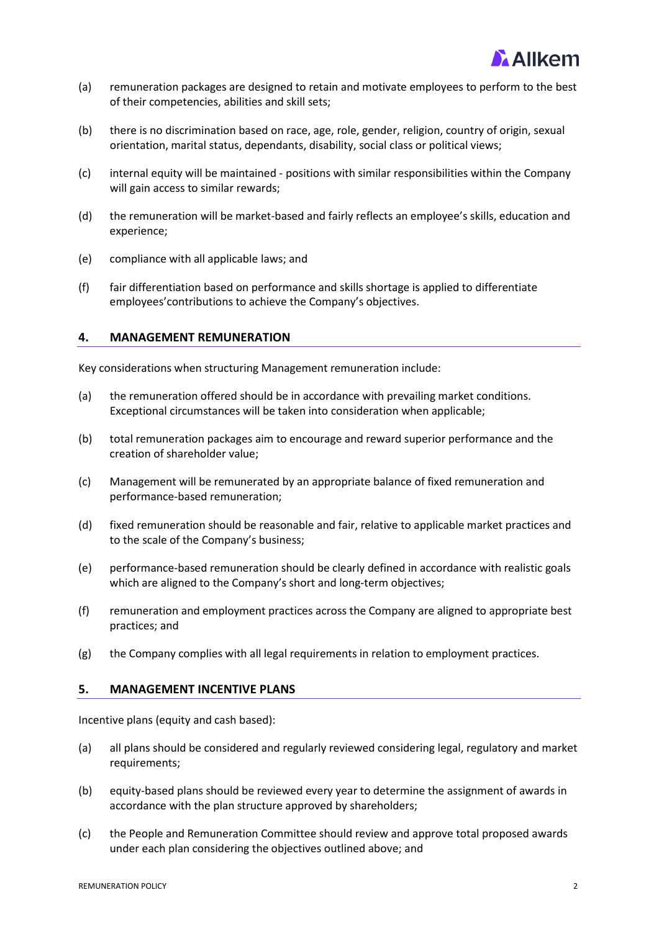

- (a) remuneration packages are designed to retain and motivate employees to perform to the best of their competencies, abilities and skill sets;
- (b) there is no discrimination based on race, age, role, gender, religion, country of origin, sexual orientation, marital status, dependants, disability, social class or political views;
- (c) internal equity will be maintained positions with similar responsibilities within the Company will gain access to similar rewards;
- (d) the remuneration will be market-based and fairly reflects an employee's skills, education and experience;
- (e) compliance with all applicable laws; and
- (f) fair differentiation based on performance and skills shortage is applied to differentiate employees'contributions to achieve the Company's objectives.

#### <span id="page-1-0"></span>**4. MANAGEMENT REMUNERATION**

Key considerations when structuring Management remuneration include:

- (a) the remuneration offered should be in accordance with prevailing market conditions. Exceptional circumstances will be taken into consideration when applicable;
- (b) total remuneration packages aim to encourage and reward superior performance and the creation of shareholder value;
- (c) Management will be remunerated by an appropriate balance of fixed remuneration and performance-based remuneration;
- (d) fixed remuneration should be reasonable and fair, relative to applicable market practices and to the scale of the Company's business;
- (e) performance-based remuneration should be clearly defined in accordance with realistic goals which are aligned to the Company's short and long-term objectives;
- (f) remuneration and employment practices across the Company are aligned to appropriate best practices; and
- (g) the Company complies with all legal requirements in relation to employment practices.

#### <span id="page-1-1"></span>**5. MANAGEMENT INCENTIVE PLANS**

Incentive plans (equity and cash based):

- (a) all plans should be considered and regularly reviewed considering legal, regulatory and market requirements;
- (b) equity-based plans should be reviewed every year to determine the assignment of awards in accordance with the plan structure approved by shareholders;
- (c) the People and Remuneration Committee should review and approve total proposed awards under each plan considering the objectives outlined above; and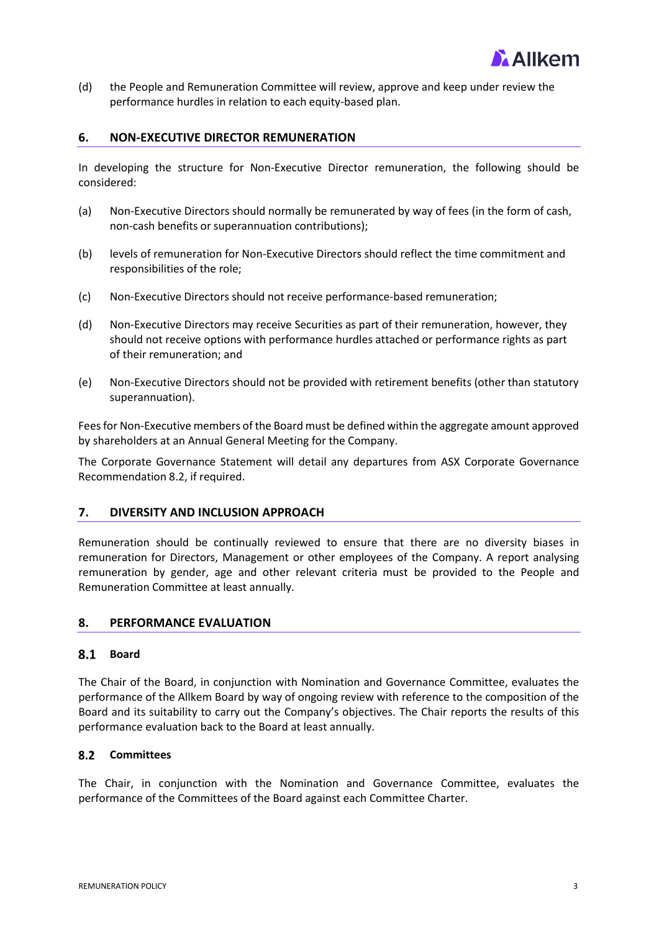

(d) the People and Remuneration Committee will review, approve and keep under review the performance hurdles in relation to each equity-based plan.

### <span id="page-2-0"></span>**6. NON-EXECUTIVE DIRECTOR REMUNERATION**

In developing the structure for Non-Executive Director remuneration, the following should be considered:

- (a) Non-Executive Directors should normally be remunerated by way of fees (in the form of cash, non-cash benefits or superannuation contributions);
- (b) levels of remuneration for Non-Executive Directors should reflect the time commitment and responsibilities of the role;
- (c) Non-Executive Directors should not receive performance-based remuneration;
- (d) Non-Executive Directors may receive Securities as part of their remuneration, however, they should not receive options with performance hurdles attached or performance rights as part of their remuneration; and
- (e) Non-Executive Directors should not be provided with retirement benefits (other than statutory superannuation).

Fees for Non-Executive members of the Board must be defined within the aggregate amount approved by shareholders at an Annual General Meeting for the Company.

The Corporate Governance Statement will detail any departures from ASX Corporate Governance Recommendation 8.2, if required.

#### <span id="page-2-1"></span>**7. DIVERSITY AND INCLUSION APPROACH**

Remuneration should be continually reviewed to ensure that there are no diversity biases in remuneration for Directors, Management or other employees of the Company. A report analysing remuneration by gender, age and other relevant criteria must be provided to the People and Remuneration Committee at least annually.

#### <span id="page-2-2"></span>**8. PERFORMANCE EVALUATION**

#### **Board**

The Chair of the Board, in conjunction with Nomination and Governance Committee, evaluates the performance of the Allkem Board by way of ongoing review with reference to the composition of the Board and its suitability to carry out the Company's objectives. The Chair reports the results of this performance evaluation back to the Board at least annually.

#### 8.2 Committees

The Chair, in conjunction with the Nomination and Governance Committee, evaluates the performance of the Committees of the Board against each Committee Charter.